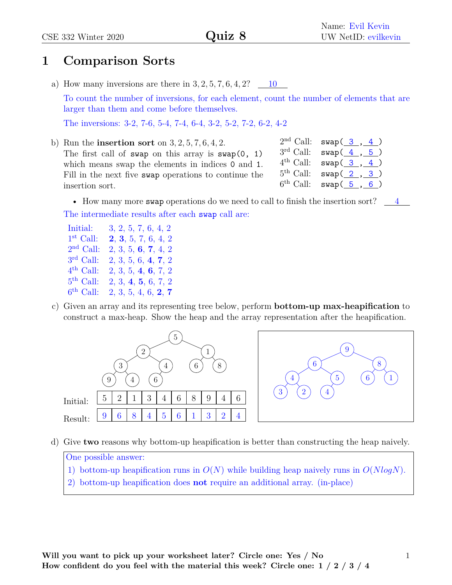## **1 Comparison Sorts**

a) How many inversions are there in  $3, 2, 5, 7, 6, 4, 2$ ?  $\underline{\hspace{1cm}} 10$ 

To count the number of inversions, for each element, count the number of elements that are larger than them and come before themselves.

The inversions: 3-2, 7-6, 5-4, 7-4, 6-4, 3-2, 5-2, 7-2, 6-2, 4-2

b) Run the **insertion sort** on 3*,* 2*,* 5*,* 7*,* 6*,* 4*,* 2. The first call of swap on this array is  $swap(0, 1)$ which means swap the elements in indices 0 and 1. Fill in the next five swap operations to continue the insertion sort.

| $2nd$ Call:           | $swap(\underline{3}, \underline{4})$ |  |  |
|-----------------------|--------------------------------------|--|--|
| $3rd$ Call:           | $swap(\underline{4}, \underline{5})$ |  |  |
| $4^{\text{th}}$ Call: | $swap(\underline{3}, 4)$             |  |  |
| $5^{\text{th}}$ Call: | swap( <u>2, 3</u> )                  |  |  |
| $6^{\text{th}}$ Call: | swap( <u>5, 6</u> )                  |  |  |

• How many more swap operations do we need to call to finish the insertion sort?  $\frac{4}{1}$ The intermediate results after each swap call are:

| Initial:              | 3, 2, 5, 7, 6, 4, 2 |
|-----------------------|---------------------|
| $1st$ Call:           | 2, 3, 5, 7, 6, 4, 2 |
| $2nd$ Call:           | 2, 3, 5, 6, 7, 4, 2 |
| $3rd$ Call:           | 2, 3, 5, 6, 4, 7, 2 |
| $4^{\text{th}}$ Call: | 2, 3, 5, 4, 6, 7, 2 |
| $5^{\text{th}}$ Call: | 2, 3, 4, 5, 6, 7, 2 |
| $6^{\text{th}}$ Call: | 2, 3, 5, 4, 6, 2, 7 |

c) Given an array and its representing tree below, perform **bottom-up max-heapification** to construct a max-heap. Show the heap and the array representation after the heapification.



d) Give **two** reasons why bottom-up heapification is better than constructing the heap naively.

### One possible answer:

- 1) bottom-up heapification runs in *O*(*N*) while building heap naively runs in *O*(*NlogN*).
- 2) bottom-up heapification does **not** require an additional array. (in-place)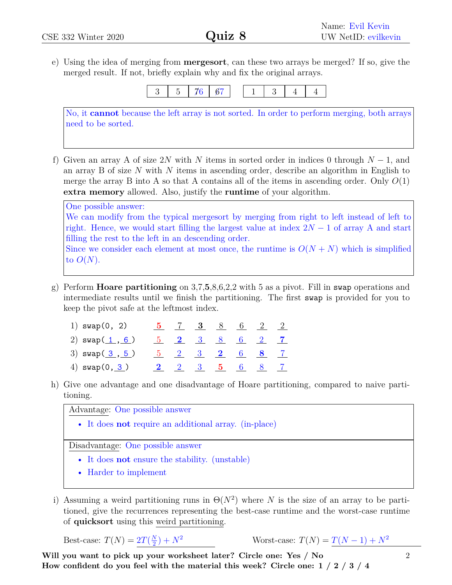e) Using the idea of merging from **mergesort**, can these two arrays be merged? If so, give the merged result. If not, briefly explain why and fix the original arrays.



No, it **cannot** because the left array is not sorted. In order to perform merging, both arrays need to be sorted.

f) Given an array A of size 2*N* with *N* items in sorted order in indices 0 through *N* − 1, and an array B of size *N* with *N* items in ascending order, describe an algorithm in English to merge the array B into A so that A contains all of the items in ascending order. Only  $O(1)$ **extra memory** allowed. Also, justify the **runtime** of your algorithm.

One possible answer: We can modify from the typical mergesort by merging from right to left instead of left to right. Hence, we would start filling the largest value at index 2*N* − 1 of array A and start filling the rest to the left in an descending order. Since we consider each element at most once, the runtime is  $O(N + N)$  which is simplified to  $O(N)$ .

- g) Perform **Hoare partitioning** on 3,7,**5**,8,6,2,2 with 5 as a pivot. Fill in swap operations and intermediate results until we finish the partitioning. The first swap is provided for you to keep the pivot safe at the leftmost index.
	- 1) swap(0, 2) **5** 7 **3** 8 6 2 2 2)  $\text{swap}(\underline{1}, \underline{6})$   $\underline{5}$   $\underline{2}$   $\underline{3}$   $\underline{8}$   $\underline{6}$   $\underline{2}$   $\underline{7}$ 3) swap( 3 , 5 ) 5 2 3 **2** 6 **8** 7 4) swap(0, 3 ) **2** 2 3 **5** 6 8 7
- h) Give one advantage and one disadvantage of Hoare partitioning, compared to naive partitioning.

Advantage: One possible answer

• It does **not** require an additional array. (in-place)

Disadvantage: One possible answer

- It does **not** ensure the stability. (unstable)
- Harder to implement
- i) Assuming a weird partitioning runs in  $\Theta(N^2)$  where *N* is the size of an array to be partitioned, give the recurrences representing the best-case runtime and the worst-case runtime of **quicksort** using this weird partitioning.

Best-case:  $T(N) = 2T(\frac{N}{2})$ 2  $\text{Worst-case: } T(N) = T(N-1) + N^2$ 

**Will you want to pick up your worksheet later? Circle one: Yes / No How confident do you feel with the material this week? Circle one: 1 / 2 / 3 / 4**